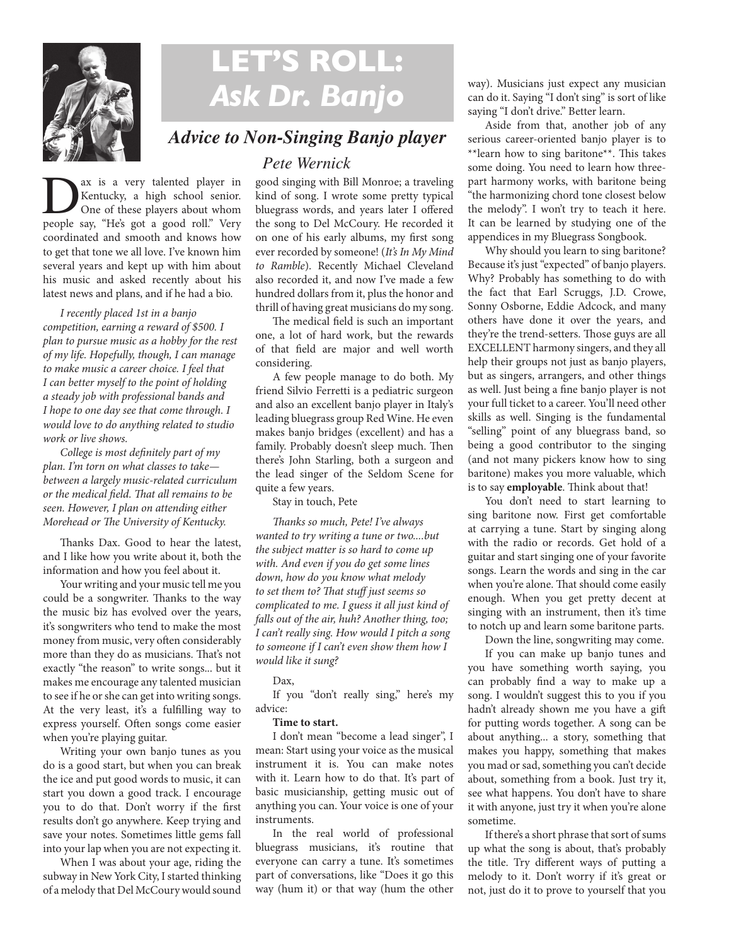

# **LET'S ROLL:** *Ask Dr. Banjo*

# *Pete Wernick Advice to Non-Singing Banjo player*

D ax is a very talented player in people say, "He's got a good roll." Very Kentucky, a high school senior. One of these players about whom coordinated and smooth and knows how to get that tone we all love. I've known him several years and kept up with him about his music and asked recently about his latest news and plans, and if he had a bio.

*I recently placed 1st in a banjo competition, earning a reward of \$500. I plan to pursue music as a hobby for the rest of my life. Hopefully, though, I can manage to make music a career choice. I feel that I can better myself to the point of holding a steady job with professional bands and I hope to one day see that come through. I would love to do anything related to studio work or live shows.*

*College is most definitely part of my plan. I'm torn on what classes to take between a largely music-related curriculum or the medical field. That all remains to be seen. However, I plan on attending either Morehead or The University of Kentucky.*

Thanks Dax. Good to hear the latest, and I like how you write about it, both the information and how you feel about it.

Your writing and your music tell me you could be a songwriter. Thanks to the way the music biz has evolved over the years, it's songwriters who tend to make the most money from music, very often considerably more than they do as musicians. That's not exactly "the reason" to write songs... but it makes me encourage any talented musician to see if he or she can get into writing songs. At the very least, it's a fulfilling way to express yourself. Often songs come easier when you're playing guitar.

Writing your own banjo tunes as you do is a good start, but when you can break the ice and put good words to music, it can start you down a good track. I encourage you to do that. Don't worry if the first results don't go anywhere. Keep trying and save your notes. Sometimes little gems fall into your lap when you are not expecting it.

When I was about your age, riding the subway in New York City, I started thinking of a melody that Del McCoury would sound

good singing with Bill Monroe; a traveling kind of song. I wrote some pretty typical bluegrass words, and years later I offered the song to Del McCoury. He recorded it on one of his early albums, my first song ever recorded by someone! (*It's In My Mind to Ramble*). Recently Michael Cleveland also recorded it, and now I've made a few hundred dollars from it, plus the honor and thrill of having great musicians do my song.

The medical field is such an important one, a lot of hard work, but the rewards of that field are major and well worth considering.

A few people manage to do both. My friend Silvio Ferretti is a pediatric surgeon and also an excellent banjo player in Italy's leading bluegrass group Red Wine. He even makes banjo bridges (excellent) and has a family. Probably doesn't sleep much. Then there's John Starling, both a surgeon and the lead singer of the Seldom Scene for quite a few years.

Stay in touch, Pete

*Thanks so much, Pete! I've always wanted to try writing a tune or two....but the subject matter is so hard to come up with. And even if you do get some lines down, how do you know what melody to set them to? That stuff just seems so complicated to me. I guess it all just kind of falls out of the air, huh? Another thing, too; I can't really sing. How would I pitch a song to someone if I can't even show them how I would like it sung?*

## Dax,

If you "don't really sing," here's my advice:

### **Time to start.**

I don't mean "become a lead singer", I mean: Start using your voice as the musical instrument it is. You can make notes with it. Learn how to do that. It's part of basic musicianship, getting music out of anything you can. Your voice is one of your instruments.

In the real world of professional bluegrass musicians, it's routine that everyone can carry a tune. It's sometimes part of conversations, like "Does it go this way (hum it) or that way (hum the other way). Musicians just expect any musician can do it. Saying "I don't sing" is sort of like saying "I don't drive." Better learn.

Aside from that, another job of any serious career-oriented banjo player is to \*\*learn how to sing baritone\*\*. This takes some doing. You need to learn how threepart harmony works, with baritone being "the harmonizing chord tone closest below the melody". I won't try to teach it here. It can be learned by studying one of the appendices in my Bluegrass Songbook.

Why should you learn to sing baritone? Because it's just "expected" of banjo players. Why? Probably has something to do with the fact that Earl Scruggs, J.D. Crowe, Sonny Osborne, Eddie Adcock, and many others have done it over the years, and they're the trend-setters. Those guys are all EXCELLENT harmony singers, and they all help their groups not just as banjo players, but as singers, arrangers, and other things as well. Just being a fine banjo player is not your full ticket to a career. You'll need other skills as well. Singing is the fundamental "selling" point of any bluegrass band, so being a good contributor to the singing (and not many pickers know how to sing baritone) makes you more valuable, which is to say **employable**. Think about that!

You don't need to start learning to sing baritone now. First get comfortable at carrying a tune. Start by singing along with the radio or records. Get hold of a guitar and start singing one of your favorite songs. Learn the words and sing in the car when you're alone. That should come easily enough. When you get pretty decent at singing with an instrument, then it's time to notch up and learn some baritone parts.

Down the line, songwriting may come.

If you can make up banjo tunes and you have something worth saying, you can probably find a way to make up a song. I wouldn't suggest this to you if you hadn't already shown me you have a gift for putting words together. A song can be about anything... a story, something that makes you happy, something that makes you mad or sad, something you can't decide about, something from a book. Just try it, see what happens. You don't have to share it with anyone, just try it when you're alone sometime.

If there's a short phrase that sort of sums up what the song is about, that's probably the title. Try different ways of putting a melody to it. Don't worry if it's great or not, just do it to prove to yourself that you